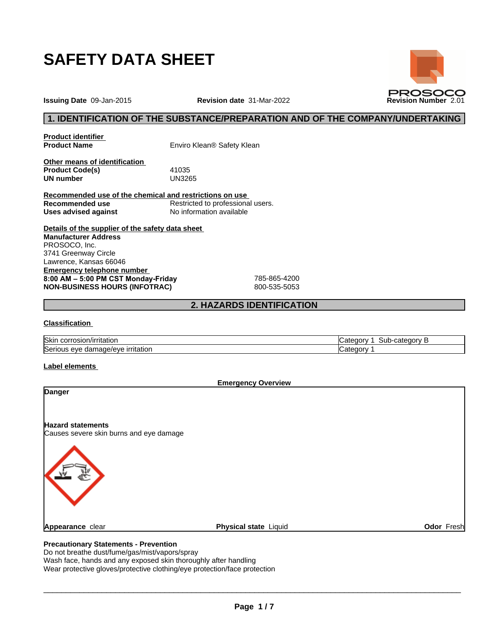

**Issuing Date** 09-Jan-2015 **Revision date** 31-Mar-2022 **Revision Number** 2.01

## **1. IDENTIFICATION OF THE SUBSTANCE/PREPARATION AND OF THE COMPANY/UNDERTAKING**

**Product identifier**

**Product Name** Enviro Klean® Safety Klean

**Other means of identification Product Code(s)** 41035<br> **UN number** UN3265 **UN number** 

**Recommended use of the chemical and restrictions on use Recommended use**<br> **Uses advised against**<br> **No information available No information available** 

**Details of the supplier of the safety data sheet Emergency telephone number 8:00AM–5:00PMCSTMonday-Friday** 785-865-4200 **NON-BUSINESS HOURS (INFOTRAC)** 800-535-5053 **Manufacturer Address** PROSOCO, Inc. 3741 Greenway Circle Lawrence, Kansas 66046

## **2. HAZARDS IDENTIFICATION**

#### **Classification**

| <b>Skin</b><br>n/irritatior<br>corrosion                         | ----<br>Sub-categor<br>∹at⊾<br>. |
|------------------------------------------------------------------|----------------------------------|
| Serious<br><b>irritation</b><br>.ade/eve<br>: eve<br>. gama<br>. | — ⊾atecor                        |

#### **Label elements**

| <b>Emergency Overview</b>                                           |                       |            |
|---------------------------------------------------------------------|-----------------------|------------|
| <b>Danger</b>                                                       |                       |            |
| <b>Hazard statements</b><br>Causes severe skin burns and eye damage |                       |            |
|                                                                     |                       |            |
| <b>Appearance clear</b>                                             | Physical state Liquid | Odor Fresh |

### **Precautionary Statements - Prevention**

Do not breathe dust/fume/gas/mist/vapors/spray

Wash face, hands and any exposed skin thoroughly after handling

Wear protective gloves/protective clothing/eye protection/face protection

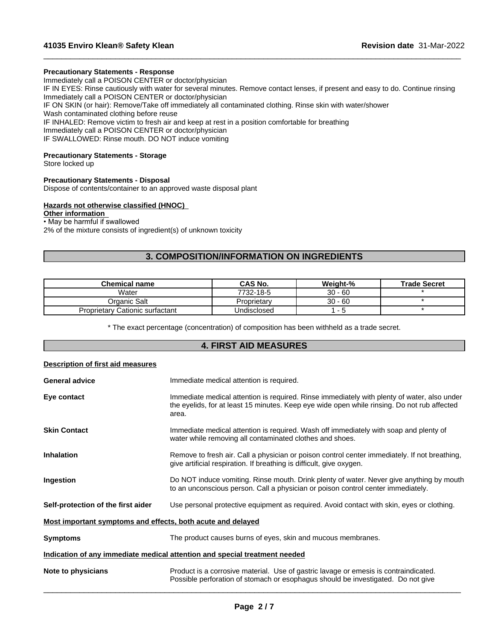#### **Precautionary Statements - Response**

Immediately call a POISON CENTER or doctor/physician

IF IN EYES: Rinse cautiously with water for several minutes. Remove contact lenses, if present and easy to do. Continue rinsing Immediately call a POISON CENTER or doctor/physician

 $\_$  ,  $\_$  ,  $\_$  ,  $\_$  ,  $\_$  ,  $\_$  ,  $\_$  ,  $\_$  ,  $\_$  ,  $\_$  ,  $\_$  ,  $\_$  ,  $\_$  ,  $\_$  ,  $\_$  ,  $\_$  ,  $\_$  ,  $\_$  ,  $\_$  ,  $\_$  ,  $\_$  ,  $\_$  ,  $\_$  ,  $\_$  ,  $\_$  ,  $\_$  ,  $\_$  ,  $\_$  ,  $\_$  ,  $\_$  ,  $\_$  ,  $\_$  ,  $\_$  ,  $\_$  ,  $\_$  ,  $\_$  ,  $\_$  ,

IF ON SKIN (or hair): Remove/Take off immediately all contaminated clothing. Rinse skin with water/shower Wash contaminated clothing before reuse

IF INHALED: Remove victim to fresh air and keep at rest in a position comfortable for breathing

Immediately call a POISON CENTER or doctor/physician

IF SWALLOWED: Rinse mouth. DO NOT induce vomiting

#### **Precautionary Statements - Storage**

Store locked up

#### **Precautionary Statements - Disposal**

Dispose of contents/container to an approved waste disposal plant

#### **Hazards not otherwise classified (HNOC)**

## **Other information**

• May be harmful if swallowed

2% of the mixture consists of ingredient(s) of unknown toxicity

## **3. COMPOSITION/INFORMATION ON INGREDIENTS**

| Chemical name                          | CAS No.     | Weight-%  | <b>Trade Secret</b> |
|----------------------------------------|-------------|-----------|---------------------|
| Water                                  | 7732-18-5   | $30 - 60$ |                     |
| Organic Salt                           | Proprietary | $30 - 60$ |                     |
| <b>Proprietary Cationic surfactant</b> | Undisclosed |           |                     |

\* The exact percentage (concentration) of composition has been withheld as a trade secret.

# **4. FIRST AID MEASURES**

| Description of first aid measures                           |                                                                                                                                                                                                     |
|-------------------------------------------------------------|-----------------------------------------------------------------------------------------------------------------------------------------------------------------------------------------------------|
| <b>General advice</b>                                       | Immediate medical attention is required.                                                                                                                                                            |
| Eye contact                                                 | Immediate medical attention is required. Rinse immediately with plenty of water, also under<br>the eyelids, for at least 15 minutes. Keep eye wide open while rinsing. Do not rub affected<br>area. |
| <b>Skin Contact</b>                                         | Immediate medical attention is required. Wash off immediately with soap and plenty of<br>water while removing all contaminated clothes and shoes.                                                   |
| <b>Inhalation</b>                                           | Remove to fresh air. Call a physician or poison control center immediately. If not breathing,<br>give artificial respiration. If breathing is difficult, give oxygen.                               |
| Ingestion                                                   | Do NOT induce vomiting. Rinse mouth. Drink plenty of water. Never give anything by mouth<br>to an unconscious person. Call a physician or poison control center immediately.                        |
| Self-protection of the first aider                          | Use personal protective equipment as required. Avoid contact with skin, eyes or clothing.                                                                                                           |
| Most important symptoms and effects, both acute and delayed |                                                                                                                                                                                                     |
| <b>Symptoms</b>                                             | The product causes burns of eyes, skin and mucous membranes.                                                                                                                                        |
|                                                             | Indication of any immediate medical attention and special treatment needed                                                                                                                          |
| Note to physicians                                          | Product is a corrosive material. Use of gastric lavage or emesis is contraindicated.<br>Possible perforation of stomach or esophagus should be investigated. Do not give                            |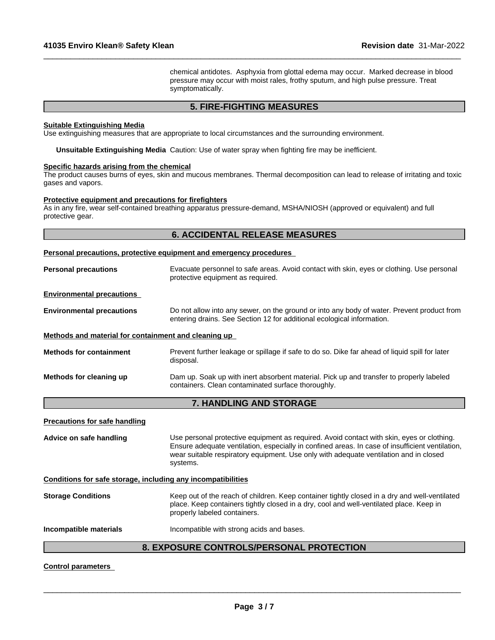chemical antidotes. Asphyxia from glottal edema may occur. Marked decrease in blood pressure may occur with moist rales, frothy sputum, and high pulse pressure. Treat symptomatically.

 $\_$  ,  $\_$  ,  $\_$  ,  $\_$  ,  $\_$  ,  $\_$  ,  $\_$  ,  $\_$  ,  $\_$  ,  $\_$  ,  $\_$  ,  $\_$  ,  $\_$  ,  $\_$  ,  $\_$  ,  $\_$  ,  $\_$  ,  $\_$  ,  $\_$  ,  $\_$  ,  $\_$  ,  $\_$  ,  $\_$  ,  $\_$  ,  $\_$  ,  $\_$  ,  $\_$  ,  $\_$  ,  $\_$  ,  $\_$  ,  $\_$  ,  $\_$  ,  $\_$  ,  $\_$  ,  $\_$  ,  $\_$  ,  $\_$  ,

## **5. FIRE-FIGHTING MEASURES**

#### **Suitable Extinguishing Media**

Use extinguishing measures that are appropriate to local circumstances and the surrounding environment.

**Unsuitable Extinguishing Media** Caution: Use of water spray when fighting fire may be inefficient.

#### **Specific hazards arising from the chemical**

The product causes burns of eyes, skin and mucous membranes. Thermal decomposition can lead to release of irritating and toxic gases and vapors.

#### **Protective equipment and precautions for firefighters**

As in any fire, wear self-contained breathing apparatus pressure-demand, MSHA/NIOSH (approved or equivalent) and full protective gear.

|                                                      | <b>6. ACCIDENTAL RELEASE MEASURES</b>                                                                                                                                |
|------------------------------------------------------|----------------------------------------------------------------------------------------------------------------------------------------------------------------------|
|                                                      | Personal precautions, protective equipment and emergency procedures                                                                                                  |
| <b>Personal precautions</b>                          | Evacuate personnel to safe areas. Avoid contact with skin, eyes or clothing. Use personal<br>protective equipment as required.                                       |
| <b>Environmental precautions</b>                     |                                                                                                                                                                      |
| <b>Environmental precautions</b>                     | Do not allow into any sewer, on the ground or into any body of water. Prevent product from<br>entering drains. See Section 12 for additional ecological information. |
| Methods and material for containment and cleaning up |                                                                                                                                                                      |
| <b>Methods for containment</b>                       | Prevent further leakage or spillage if safe to do so. Dike far ahead of liquid spill for later<br>disposal.                                                          |
| Methods for cleaning up                              | Dam up. Soak up with inert absorbent material. Pick up and transfer to properly labeled<br>containers. Clean contaminated surface thoroughly.                        |
|                                                      | 7. HANDLING AND STORAGE                                                                                                                                              |

#### **Precautions for safe handling**

**Advice on safe handling** Use personal protective equipment as required.Avoid contact with skin, eyes or clothing. Ensure adequate ventilation, especially in confined areas. In case of insufficient ventilation, wear suitable respiratory equipment. Use only with adequate ventilation and in closed systems.

**Conditions for safe storage, including any incompatibilities**

| <b>Storage Conditions</b> | Keep out of the reach of children. Keep container tightly closed in a dry and well-ventilated |
|---------------------------|-----------------------------------------------------------------------------------------------|
|                           | place. Keep containers tightly closed in a dry, cool and well-ventilated place. Keep in       |
|                           | properly labeled containers.                                                                  |
|                           |                                                                                               |

**Incompatible materials Incompatible with strong acids and bases.** 

## **8. EXPOSURE CONTROLS/PERSONAL PROTECTION**

#### **Control parameters**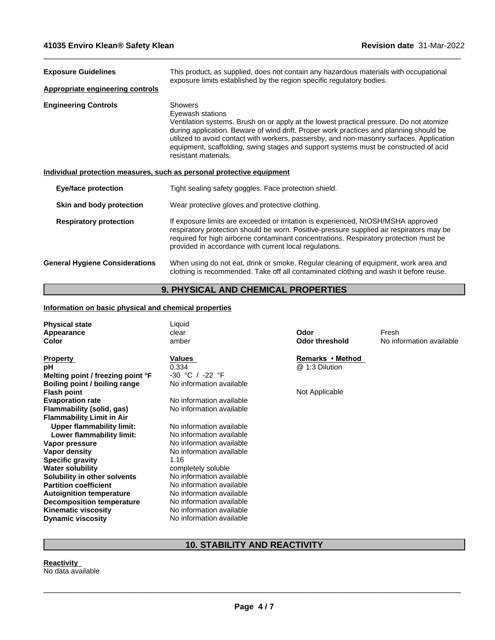| <b>Exposure Guidelines</b>              | This product, as supplied, does not contain any hazardous materials with occupational<br>exposure limits established by the region specific regulatory bodies.                                                                                                                                                                                                                                                                      |
|-----------------------------------------|-------------------------------------------------------------------------------------------------------------------------------------------------------------------------------------------------------------------------------------------------------------------------------------------------------------------------------------------------------------------------------------------------------------------------------------|
| <b>Appropriate engineering controls</b> |                                                                                                                                                                                                                                                                                                                                                                                                                                     |
| <b>Engineering Controls</b>             | <b>Showers</b><br>Eyewash stations<br>Ventilation systems. Brush on or apply at the lowest practical pressure. Do not atomize<br>during application. Beware of wind drift. Proper work practices and planning should be<br>utilized to avoid contact with workers, passersby, and non-masonry surfaces. Application<br>equipment, scaffolding, swing stages and support systems must be constructed of acid<br>resistant materials. |
|                                         | Individual protection measures, such as personal protective equipment                                                                                                                                                                                                                                                                                                                                                               |
| <b>Eye/face protection</b>              | Tight sealing safety goggles. Face protection shield.                                                                                                                                                                                                                                                                                                                                                                               |
| Skin and body protection                | Wear protective gloves and protective clothing.                                                                                                                                                                                                                                                                                                                                                                                     |
| <b>Respiratory protection</b>           | If exposure limits are exceeded or irritation is experienced, NIOSH/MSHA approved<br>respiratory protection should be worn. Positive-pressure supplied air respirators may be<br>required for high airborne contaminant concentrations. Respiratory protection must be<br>provided in accordance with current local regulations.                                                                                                    |
| <b>General Hygiene Considerations</b>   | When using do not eat, drink or smoke. Regular cleaning of equipment, work area and<br>clothing is recommended. Take off all contaminated clothing and wash it before reuse.                                                                                                                                                                                                                                                        |

 $\_$  ,  $\_$  ,  $\_$  ,  $\_$  ,  $\_$  ,  $\_$  ,  $\_$  ,  $\_$  ,  $\_$  ,  $\_$  ,  $\_$  ,  $\_$  ,  $\_$  ,  $\_$  ,  $\_$  ,  $\_$  ,  $\_$  ,  $\_$  ,  $\_$  ,  $\_$  ,  $\_$  ,  $\_$  ,  $\_$  ,  $\_$  ,  $\_$  ,  $\_$  ,  $\_$  ,  $\_$  ,  $\_$  ,  $\_$  ,  $\_$  ,  $\_$  ,  $\_$  ,  $\_$  ,  $\_$  ,  $\_$  ,  $\_$  ,

# **9. PHYSICAL AND CHEMICAL PROPERTIES**

### **Information on basic physical and chemical properties**

| <b>Physical state</b><br>Appearance<br><b>Color</b> | Liquid<br>clear<br>amber | Odor<br><b>Odor threshold</b> | Fresh<br>No information available |
|-----------------------------------------------------|--------------------------|-------------------------------|-----------------------------------|
| <b>Property</b>                                     | Values                   | Remarks • Method              |                                   |
| рH                                                  | 0.334                    | @ 1:3 Dilution                |                                   |
| Melting point / freezing point °F                   | $-30 °C /$<br>-22 °F     |                               |                                   |
| Boiling point / boiling range                       | No information available |                               |                                   |
| <b>Flash point</b>                                  |                          | Not Applicable                |                                   |
| <b>Evaporation rate</b>                             | No information available |                               |                                   |
| Flammability (solid, gas)                           | No information available |                               |                                   |
| <b>Flammability Limit in Air</b>                    |                          |                               |                                   |
| <b>Upper flammability limit:</b>                    | No information available |                               |                                   |
| Lower flammability limit:                           | No information available |                               |                                   |
| Vapor pressure                                      | No information available |                               |                                   |
| Vapor density                                       | No information available |                               |                                   |
| <b>Specific gravity</b>                             | 1.16                     |                               |                                   |
| <b>Water solubility</b>                             | completely soluble       |                               |                                   |
| Solubility in other solvents                        | No information available |                               |                                   |
| <b>Partition coefficient</b>                        | No information available |                               |                                   |
| <b>Autoignition temperature</b>                     | No information available |                               |                                   |
| <b>Decomposition temperature</b>                    | No information available |                               |                                   |
| <b>Kinematic viscosity</b>                          | No information available |                               |                                   |
| <b>Dynamic viscosity</b>                            | No information available |                               |                                   |
|                                                     |                          |                               |                                   |

# **10. STABILITY AND REACTIVITY**

**Reactivity** No data available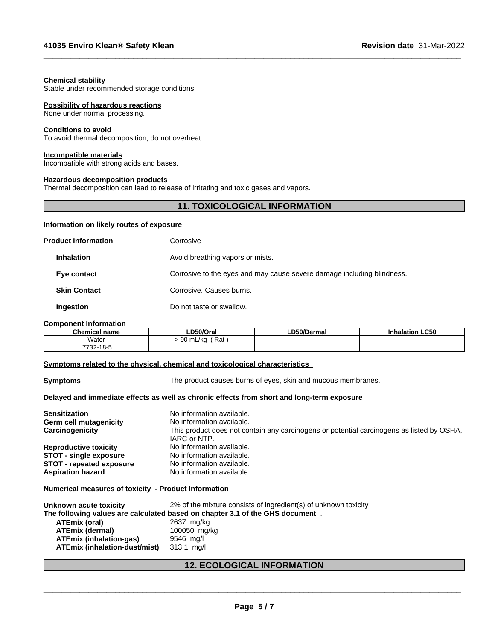#### **Chemical stability**

Stable under recommended storage conditions.

#### **Possibility of hazardous reactions**

None under normal processing.

#### **Conditions to avoid**

To avoid thermal decomposition, do not overheat.

#### **Incompatible materials**

Incompatible with strong acids and bases.

#### **Hazardous decomposition products**

Thermal decomposition can lead to release of irritating and toxic gases and vapors.

## **11. TOXICOLOGICAL INFORMATION**

 $\_$  ,  $\_$  ,  $\_$  ,  $\_$  ,  $\_$  ,  $\_$  ,  $\_$  ,  $\_$  ,  $\_$  ,  $\_$  ,  $\_$  ,  $\_$  ,  $\_$  ,  $\_$  ,  $\_$  ,  $\_$  ,  $\_$  ,  $\_$  ,  $\_$  ,  $\_$  ,  $\_$  ,  $\_$  ,  $\_$  ,  $\_$  ,  $\_$  ,  $\_$  ,  $\_$  ,  $\_$  ,  $\_$  ,  $\_$  ,  $\_$  ,  $\_$  ,  $\_$  ,  $\_$  ,  $\_$  ,  $\_$  ,  $\_$  ,

#### **Information on likely routes of exposure**

| <b>Product Information</b> | Corrosive                                                              |
|----------------------------|------------------------------------------------------------------------|
| <b>Inhalation</b>          | Avoid breathing vapors or mists.                                       |
| Eye contact                | Corrosive to the eyes and may cause severe damage including blindness. |
| <b>Skin Contact</b>        | Corrosive. Causes burns.                                               |
| <b>Ingestion</b>           | Do not taste or swallow.                                               |

#### **Component Information**

| <b>Chemical name</b> | D50/Orai                      | ∟D50/Dermal | <b>Inhalation LC50</b> |
|----------------------|-------------------------------|-------------|------------------------|
| Water                | Rat<br>ົ<br>∍mL/ka<br>ч<br>◡◡ |             |                        |
| 732-18-5<br>7700     |                               |             |                        |

#### **<u>Symptoms related to the physical, chemical and toxicological characteristics</u>**

**Symptoms** The product causes burns of eyes, skin and mucous membranes.

#### **Delayed and immediate effects as well as chronic effects from short and long-term exposure**

| <b>Sensitization</b>            | No information available.                                                                                 |
|---------------------------------|-----------------------------------------------------------------------------------------------------------|
| Germ cell mutagenicity          | No information available.                                                                                 |
| Carcinogenicity                 | This product does not contain any carcinogens or potential carcinogens as listed by OSHA,<br>IARC or NTP. |
| <b>Reproductive toxicity</b>    | No information available.                                                                                 |
| <b>STOT - single exposure</b>   | No information available.                                                                                 |
| <b>STOT - repeated exposure</b> | No information available.                                                                                 |
| <b>Aspiration hazard</b>        | No information available.                                                                                 |

## **Numerical measures of toxicity - Product Information**

| Unknown acute toxicity         | 2% of the mixture consists of ingredient(s) of unknown toxicity               |
|--------------------------------|-------------------------------------------------------------------------------|
|                                | The following values are calculated based on chapter 3.1 of the GHS document. |
| ATEmix (oral)                  | 2637 mg/kg                                                                    |
| <b>ATEmix (dermal)</b>         | 100050 mg/kg                                                                  |
| <b>ATEmix (inhalation-gas)</b> | 9546 mg/l                                                                     |
| ATEmix (inhalation-dust/mist)  | 313.1 mg/l                                                                    |

# **12. ECOLOGICAL INFORMATION**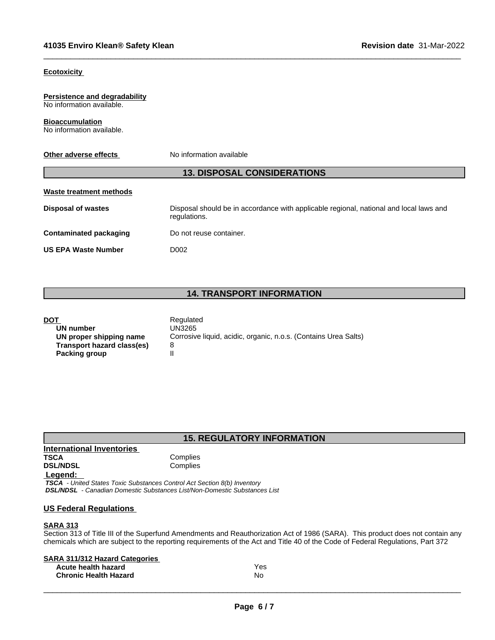#### **Ecotoxicity**

#### **Persistence and degradability** No information available.

**Bioaccumulation** No information available.

#### **Other adverse effects** No information available

## **13. DISPOSAL CONSIDERATIONS**

# **Waste treatment methods**

**Disposal of wastes** Disposal should be in accordance with applicable regional, national and local laws and regulations.

 $\_$  ,  $\_$  ,  $\_$  ,  $\_$  ,  $\_$  ,  $\_$  ,  $\_$  ,  $\_$  ,  $\_$  ,  $\_$  ,  $\_$  ,  $\_$  ,  $\_$  ,  $\_$  ,  $\_$  ,  $\_$  ,  $\_$  ,  $\_$  ,  $\_$  ,  $\_$  ,  $\_$  ,  $\_$  ,  $\_$  ,  $\_$  ,  $\_$  ,  $\_$  ,  $\_$  ,  $\_$  ,  $\_$  ,  $\_$  ,  $\_$  ,  $\_$  ,  $\_$  ,  $\_$  ,  $\_$  ,  $\_$  ,  $\_$  ,

**Contaminated packaging Do not reuse container.** 

**US EPA Waste Number** D002

## **14. TRANSPORT INFORMATION**

| Regulated                                                       |
|-----------------------------------------------------------------|
| UN3265                                                          |
| Corrosive liquid, acidic, organic, n.o.s. (Contains Urea Salts) |
|                                                                 |
|                                                                 |
|                                                                 |

## **15. REGULATORY INFORMATION**

### **International Inventories TSCA** Complies<br> **DSL/NDSL** Complies **Complies Legend:**

 *TSCA - United States Toxic Substances Control Act Section 8(b) Inventory DSL/NDSL - Canadian Domestic Substances List/Non-Domestic Substances List*

## **US Federal Regulations**

#### **SARA 313**

Section 313 of Title III of the Superfund Amendments and Reauthorization Act of 1986 (SARA). This product does not contain any chemicals which are subject to the reporting requirements of the Act and Title 40 of the Code of Federal Regulations, Part 372

| <b>SARA 311/312 Hazard Categories</b> |     |
|---------------------------------------|-----|
| Acute health hazard                   | Yes |
| <b>Chronic Health Hazard</b>          | No  |